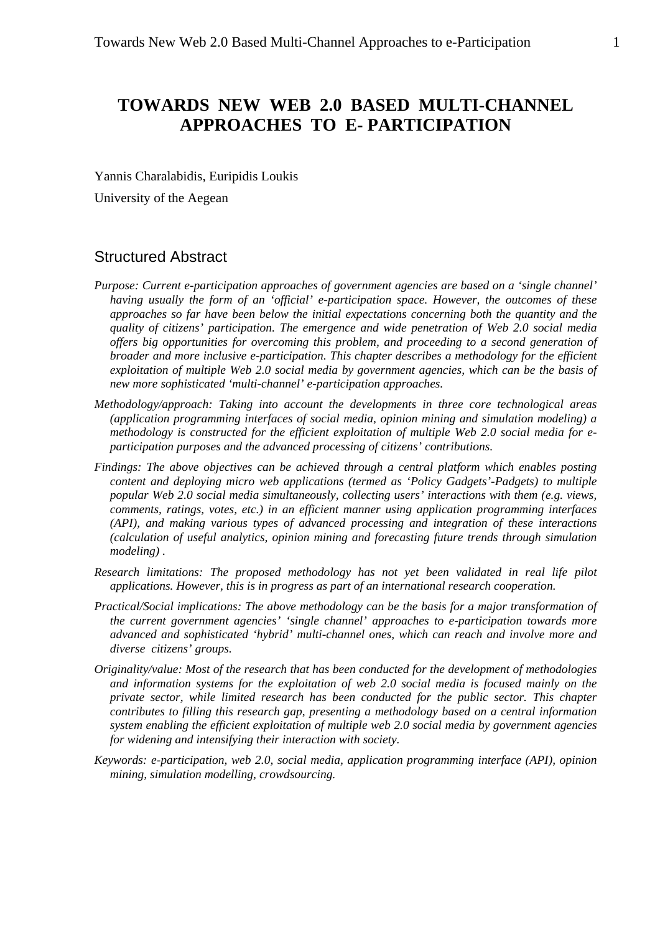# **TOWARDS NEW WEB 2.0 BASED MULTI-CHANNEL APPROACHES TO E- PARTICIPATION**

Yannis Charalabidis, Euripidis Loukis

University of the Aegean

## Structured Abstract

- *Purpose: Current e-participation approaches of government agencies are based on a 'single channel' having usually the form of an 'official' e-participation space. However, the outcomes of these approaches so far have been below the initial expectations concerning both the quantity and the quality of citizens' participation. The emergence and wide penetration of Web 2.0 social media offers big opportunities for overcoming this problem, and proceeding to a second generation of broader and more inclusive e-participation. This chapter describes a methodology for the efficient exploitation of multiple Web 2.0 social media by government agencies, which can be the basis of new more sophisticated 'multi-channel' e-participation approaches.*
- *Methodology/approach: Taking into account the developments in three core technological areas (application programming interfaces of social media, opinion mining and simulation modeling) a methodology is constructed for the efficient exploitation of multiple Web 2.0 social media for eparticipation purposes and the advanced processing of citizens' contributions.*
- *Findings: The above objectives can be achieved through a central platform which enables posting content and deploying micro web applications (termed as 'Policy Gadgets'-Padgets) to multiple popular Web 2.0 social media simultaneously, collecting users' interactions with them (e.g. views, comments, ratings, votes, etc.) in an efficient manner using application programming interfaces (API), and making various types of advanced processing and integration of these interactions (calculation of useful analytics, opinion mining and forecasting future trends through simulation modeling) .*
- *Research limitations: The proposed methodology has not yet been validated in real life pilot applications. However, this is in progress as part of an international research cooperation.*
- *Practical/Social implications: The above methodology can be the basis for a major transformation of the current government agencies' 'single channel' approaches to e-participation towards more advanced and sophisticated 'hybrid' multi-channel ones, which can reach and involve more and diverse citizens' groups.*
- *Originality/value: Most of the research that has been conducted for the development of methodologies and information systems for the exploitation of web 2.0 social media is focused mainly on the private sector, while limited research has been conducted for the public sector. This chapter contributes to filling this research gap, presenting a methodology based on a central information system enabling the efficient exploitation of multiple web 2.0 social media by government agencies for widening and intensifying their interaction with society.*
- *Keywords: e-participation, web 2.0, social media, application programming interface (API), opinion mining, simulation modelling, crowdsourcing.*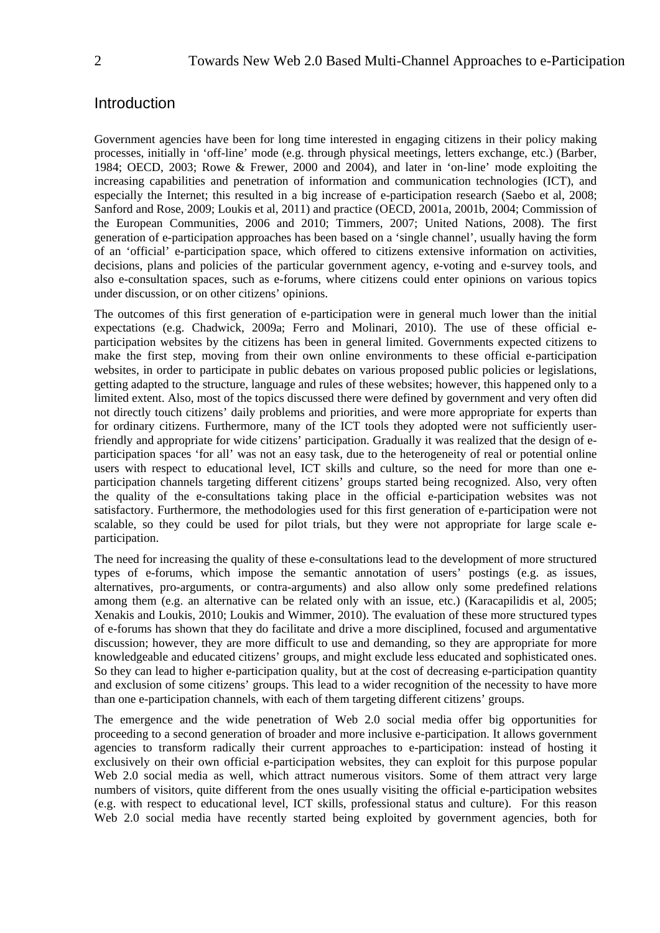## **Introduction**

Government agencies have been for long time interested in engaging citizens in their policy making processes, initially in 'off-line' mode (e.g. through physical meetings, letters exchange, etc.) (Barber, 1984; OECD, 2003; Rowe & Frewer, 2000 and 2004), and later in 'on-line' mode exploiting the increasing capabilities and penetration of information and communication technologies (ICT), and especially the Internet; this resulted in a big increase of e-participation research (Saebo et al, 2008; Sanford and Rose, 2009; Loukis et al, 2011) and practice (OECD, 2001a, 2001b, 2004; Commission of the European Communities, 2006 and 2010; Timmers, 2007; United Nations, 2008). The first generation of e-participation approaches has been based on a 'single channel', usually having the form of an 'official' e-participation space, which offered to citizens extensive information on activities, decisions, plans and policies of the particular government agency, e-voting and e-survey tools, and also e-consultation spaces, such as e-forums, where citizens could enter opinions on various topics under discussion, or on other citizens' opinions.

The outcomes of this first generation of e-participation were in general much lower than the initial expectations (e.g. Chadwick, 2009a; Ferro and Molinari, 2010). The use of these official eparticipation websites by the citizens has been in general limited. Governments expected citizens to make the first step, moving from their own online environments to these official e-participation websites, in order to participate in public debates on various proposed public policies or legislations, getting adapted to the structure, language and rules of these websites; however, this happened only to a limited extent. Also, most of the topics discussed there were defined by government and very often did not directly touch citizens' daily problems and priorities, and were more appropriate for experts than for ordinary citizens. Furthermore, many of the ICT tools they adopted were not sufficiently userfriendly and appropriate for wide citizens' participation. Gradually it was realized that the design of eparticipation spaces 'for all' was not an easy task, due to the heterogeneity of real or potential online users with respect to educational level, ICT skills and culture, so the need for more than one eparticipation channels targeting different citizens' groups started being recognized. Also, very often the quality of the e-consultations taking place in the official e-participation websites was not satisfactory. Furthermore, the methodologies used for this first generation of e-participation were not scalable, so they could be used for pilot trials, but they were not appropriate for large scale eparticipation.

The need for increasing the quality of these e-consultations lead to the development of more structured types of e-forums, which impose the semantic annotation of users' postings (e.g. as issues, alternatives, pro-arguments, or contra-arguments) and also allow only some predefined relations among them (e.g. an alternative can be related only with an issue, etc.) (Karacapilidis et al, 2005; Xenakis and Loukis, 2010; Loukis and Wimmer, 2010). The evaluation of these more structured types of e-forums has shown that they do facilitate and drive a more disciplined, focused and argumentative discussion; however, they are more difficult to use and demanding, so they are appropriate for more knowledgeable and educated citizens' groups, and might exclude less educated and sophisticated ones. So they can lead to higher e-participation quality, but at the cost of decreasing e-participation quantity and exclusion of some citizens' groups. This lead to a wider recognition of the necessity to have more than one e-participation channels, with each of them targeting different citizens' groups.

The emergence and the wide penetration of Web 2.0 social media offer big opportunities for proceeding to a second generation of broader and more inclusive e-participation. It allows government agencies to transform radically their current approaches to e-participation: instead of hosting it exclusively on their own official e-participation websites, they can exploit for this purpose popular Web 2.0 social media as well, which attract numerous visitors. Some of them attract very large numbers of visitors, quite different from the ones usually visiting the official e-participation websites (e.g. with respect to educational level, ICT skills, professional status and culture). For this reason Web 2.0 social media have recently started being exploited by government agencies, both for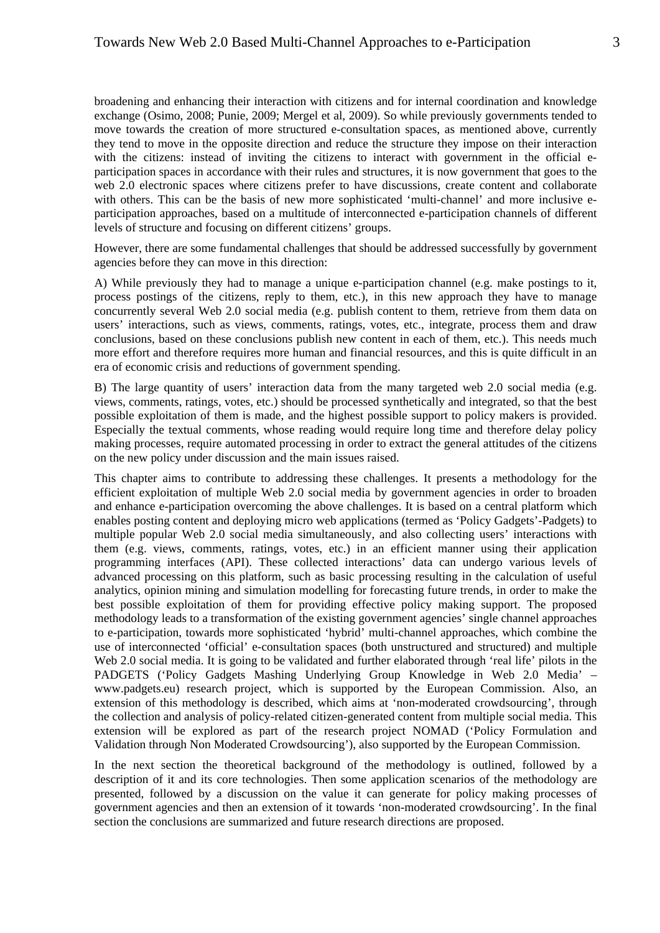broadening and enhancing their interaction with citizens and for internal coordination and knowledge exchange (Osimo, 2008; Punie, 2009; Mergel et al, 2009). So while previously governments tended to move towards the creation of more structured e-consultation spaces, as mentioned above, currently they tend to move in the opposite direction and reduce the structure they impose on their interaction with the citizens: instead of inviting the citizens to interact with government in the official eparticipation spaces in accordance with their rules and structures, it is now government that goes to the web 2.0 electronic spaces where citizens prefer to have discussions, create content and collaborate with others. This can be the basis of new more sophisticated 'multi-channel' and more inclusive eparticipation approaches, based on a multitude of interconnected e-participation channels of different levels of structure and focusing on different citizens' groups.

However, there are some fundamental challenges that should be addressed successfully by government agencies before they can move in this direction:

A) While previously they had to manage a unique e-participation channel (e.g. make postings to it, process postings of the citizens, reply to them, etc.), in this new approach they have to manage concurrently several Web 2.0 social media (e.g. publish content to them, retrieve from them data on users' interactions, such as views, comments, ratings, votes, etc., integrate, process them and draw conclusions, based on these conclusions publish new content in each of them, etc.). This needs much more effort and therefore requires more human and financial resources, and this is quite difficult in an era of economic crisis and reductions of government spending.

B) The large quantity of users' interaction data from the many targeted web 2.0 social media (e.g. views, comments, ratings, votes, etc.) should be processed synthetically and integrated, so that the best possible exploitation of them is made, and the highest possible support to policy makers is provided. Especially the textual comments, whose reading would require long time and therefore delay policy making processes, require automated processing in order to extract the general attitudes of the citizens on the new policy under discussion and the main issues raised.

This chapter aims to contribute to addressing these challenges. It presents a methodology for the efficient exploitation of multiple Web 2.0 social media by government agencies in order to broaden and enhance e-participation overcoming the above challenges. It is based on a central platform which enables posting content and deploying micro web applications (termed as 'Policy Gadgets'-Padgets) to multiple popular Web 2.0 social media simultaneously, and also collecting users' interactions with them (e.g. views, comments, ratings, votes, etc.) in an efficient manner using their application programming interfaces (API). These collected interactions' data can undergo various levels of advanced processing on this platform, such as basic processing resulting in the calculation of useful analytics, opinion mining and simulation modelling for forecasting future trends, in order to make the best possible exploitation of them for providing effective policy making support. The proposed methodology leads to a transformation of the existing government agencies' single channel approaches to e-participation, towards more sophisticated 'hybrid' multi-channel approaches, which combine the use of interconnected 'official' e-consultation spaces (both unstructured and structured) and multiple Web 2.0 social media. It is going to be validated and further elaborated through 'real life' pilots in the PADGETS ('Policy Gadgets Mashing Underlying Group Knowledge in Web 2.0 Media' – www.padgets.eu) research project, which is supported by the European Commission. Also, an extension of this methodology is described, which aims at 'non-moderated crowdsourcing', through the collection and analysis of policy-related citizen-generated content from multiple social media. This extension will be explored as part of the research project NOMAD ('Policy Formulation and Validation through Non Moderated Crowdsourcing'), also supported by the European Commission.

In the next section the theoretical background of the methodology is outlined, followed by a description of it and its core technologies. Then some application scenarios of the methodology are presented, followed by a discussion on the value it can generate for policy making processes of government agencies and then an extension of it towards 'non-moderated crowdsourcing'. In the final section the conclusions are summarized and future research directions are proposed.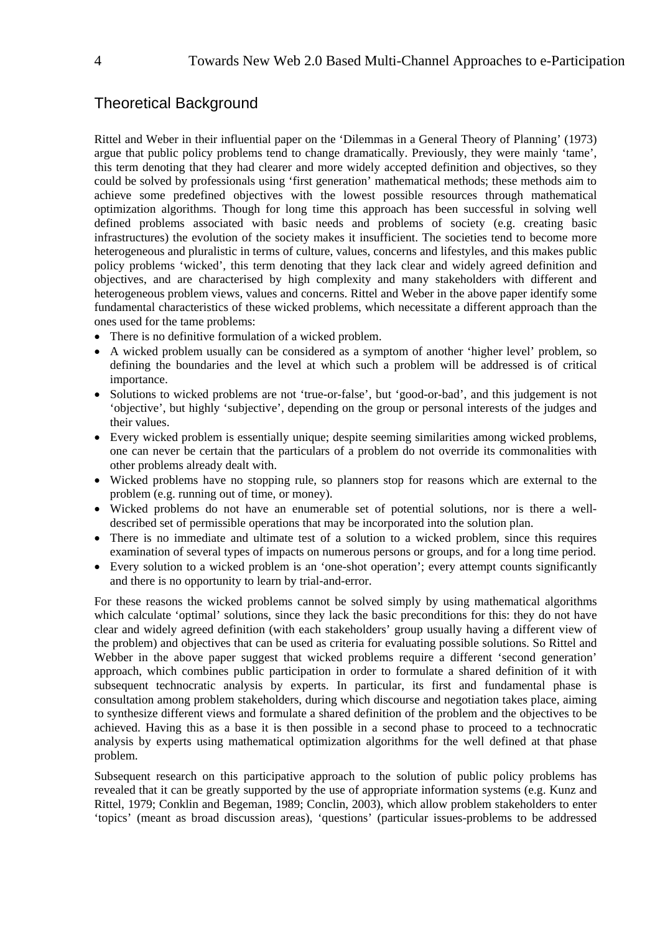## Theoretical Background

Rittel and Weber in their influential paper on the 'Dilemmas in a General Theory of Planning' (1973) argue that public policy problems tend to change dramatically. Previously, they were mainly 'tame', this term denoting that they had clearer and more widely accepted definition and objectives, so they could be solved by professionals using 'first generation' mathematical methods; these methods aim to achieve some predefined objectives with the lowest possible resources through mathematical optimization algorithms. Though for long time this approach has been successful in solving well defined problems associated with basic needs and problems of society (e.g. creating basic infrastructures) the evolution of the society makes it insufficient. The societies tend to become more heterogeneous and pluralistic in terms of culture, values, concerns and lifestyles, and this makes public policy problems 'wicked', this term denoting that they lack clear and widely agreed definition and objectives, and are characterised by high complexity and many stakeholders with different and heterogeneous problem views, values and concerns. Rittel and Weber in the above paper identify some fundamental characteristics of these wicked problems, which necessitate a different approach than the ones used for the tame problems:

- There is no definitive formulation of a wicked problem.
- A wicked problem usually can be considered as a symptom of another 'higher level' problem, so defining the boundaries and the level at which such a problem will be addressed is of critical importance.
- Solutions to wicked problems are not 'true-or-false', but 'good-or-bad', and this judgement is not 'objective', but highly 'subjective', depending on the group or personal interests of the judges and their values.
- Every wicked problem is essentially unique; despite seeming similarities among wicked problems, one can never be certain that the particulars of a problem do not override its commonalities with other problems already dealt with.
- Wicked problems have no stopping rule, so planners stop for reasons which are external to the problem (e.g. running out of time, or money).
- Wicked problems do not have an enumerable set of potential solutions, nor is there a welldescribed set of permissible operations that may be incorporated into the solution plan.
- There is no immediate and ultimate test of a solution to a wicked problem, since this requires examination of several types of impacts on numerous persons or groups, and for a long time period.
- Every solution to a wicked problem is an 'one-shot operation'; every attempt counts significantly and there is no opportunity to learn by trial-and-error.

For these reasons the wicked problems cannot be solved simply by using mathematical algorithms which calculate 'optimal' solutions, since they lack the basic preconditions for this: they do not have clear and widely agreed definition (with each stakeholders' group usually having a different view of the problem) and objectives that can be used as criteria for evaluating possible solutions. So Rittel and Webber in the above paper suggest that wicked problems require a different 'second generation' approach, which combines public participation in order to formulate a shared definition of it with subsequent technocratic analysis by experts. In particular, its first and fundamental phase is consultation among problem stakeholders, during which discourse and negotiation takes place, aiming to synthesize different views and formulate a shared definition of the problem and the objectives to be achieved. Having this as a base it is then possible in a second phase to proceed to a technocratic analysis by experts using mathematical optimization algorithms for the well defined at that phase problem.

Subsequent research on this participative approach to the solution of public policy problems has revealed that it can be greatly supported by the use of appropriate information systems (e.g. Kunz and Rittel, 1979; Conklin and Begeman, 1989; Conclin, 2003), which allow problem stakeholders to enter 'topics' (meant as broad discussion areas), 'questions' (particular issues-problems to be addressed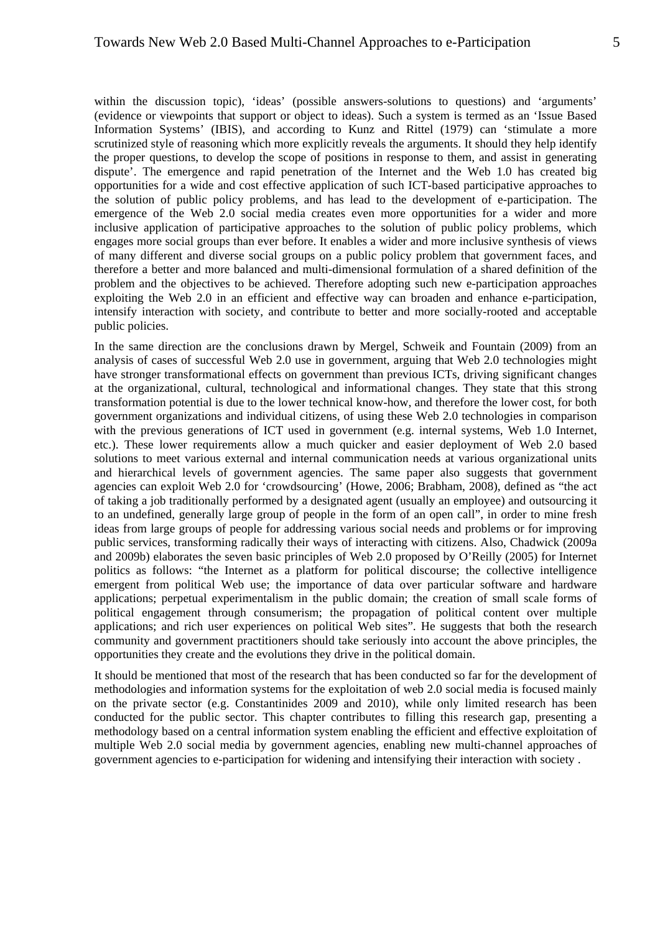within the discussion topic), 'ideas' (possible answers-solutions to questions) and 'arguments' (evidence or viewpoints that support or object to ideas). Such a system is termed as an 'Issue Based Information Systems' (IBIS), and according to Kunz and Rittel (1979) can 'stimulate a more scrutinized style of reasoning which more explicitly reveals the arguments. It should they help identify the proper questions, to develop the scope of positions in response to them, and assist in generating dispute'. The emergence and rapid penetration of the Internet and the Web 1.0 has created big opportunities for a wide and cost effective application of such ICT-based participative approaches to the solution of public policy problems, and has lead to the development of e-participation. The emergence of the Web 2.0 social media creates even more opportunities for a wider and more inclusive application of participative approaches to the solution of public policy problems, which engages more social groups than ever before. It enables a wider and more inclusive synthesis of views of many different and diverse social groups on a public policy problem that government faces, and therefore a better and more balanced and multi-dimensional formulation of a shared definition of the problem and the objectives to be achieved. Therefore adopting such new e-participation approaches exploiting the Web 2.0 in an efficient and effective way can broaden and enhance e-participation, intensify interaction with society, and contribute to better and more socially-rooted and acceptable public policies.

In the same direction are the conclusions drawn by Mergel, Schweik and Fountain (2009) from an analysis of cases of successful Web 2.0 use in government, arguing that Web 2.0 technologies might have stronger transformational effects on government than previous ICTs, driving significant changes at the organizational, cultural, technological and informational changes. They state that this strong transformation potential is due to the lower technical know-how, and therefore the lower cost, for both government organizations and individual citizens, of using these Web 2.0 technologies in comparison with the previous generations of ICT used in government (e.g. internal systems, Web 1.0 Internet, etc.). These lower requirements allow a much quicker and easier deployment of Web 2.0 based solutions to meet various external and internal communication needs at various organizational units and hierarchical levels of government agencies. The same paper also suggests that government agencies can exploit Web 2.0 for 'crowdsourcing' (Howe, 2006; Brabham, 2008), defined as "the act of taking a job traditionally performed by a designated agent (usually an employee) and outsourcing it to an undefined, generally large group of people in the form of an open call", in order to mine fresh ideas from large groups of people for addressing various social needs and problems or for improving public services, transforming radically their ways of interacting with citizens. Also, Chadwick (2009a and 2009b) elaborates the seven basic principles of Web 2.0 proposed by O'Reilly (2005) for Internet politics as follows: "the Internet as a platform for political discourse; the collective intelligence emergent from political Web use; the importance of data over particular software and hardware applications; perpetual experimentalism in the public domain; the creation of small scale forms of political engagement through consumerism; the propagation of political content over multiple applications; and rich user experiences on political Web sites". He suggests that both the research community and government practitioners should take seriously into account the above principles, the opportunities they create and the evolutions they drive in the political domain.

It should be mentioned that most of the research that has been conducted so far for the development of methodologies and information systems for the exploitation of web 2.0 social media is focused mainly on the private sector (e.g. Constantinides 2009 and 2010), while only limited research has been conducted for the public sector. This chapter contributes to filling this research gap, presenting a methodology based on a central information system enabling the efficient and effective exploitation of multiple Web 2.0 social media by government agencies, enabling new multi-channel approaches of government agencies to e-participation for widening and intensifying their interaction with society .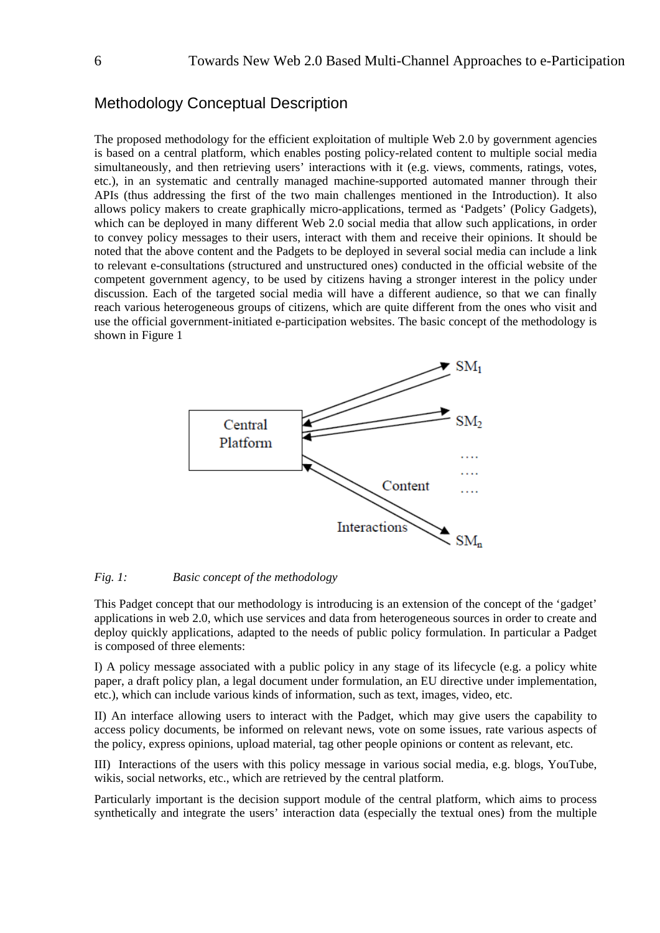## Methodology Conceptual Description

The proposed methodology for the efficient exploitation of multiple Web 2.0 by government agencies is based on a central platform, which enables posting policy-related content to multiple social media simultaneously, and then retrieving users' interactions with it (e.g. views, comments, ratings, votes, etc.), in an systematic and centrally managed machine-supported automated manner through their APIs (thus addressing the first of the two main challenges mentioned in the Introduction). It also allows policy makers to create graphically micro-applications, termed as 'Padgets' (Policy Gadgets), which can be deployed in many different Web 2.0 social media that allow such applications, in order to convey policy messages to their users, interact with them and receive their opinions. It should be noted that the above content and the Padgets to be deployed in several social media can include a link to relevant e-consultations (structured and unstructured ones) conducted in the official website of the competent government agency, to be used by citizens having a stronger interest in the policy under discussion. Each of the targeted social media will have a different audience, so that we can finally reach various heterogeneous groups of citizens, which are quite different from the ones who visit and use the official government-initiated e-participation websites. The basic concept of the methodology is shown in Figure 1



#### *Fig. 1: Basic concept of the methodology*

This Padget concept that our methodology is introducing is an extension of the concept of the 'gadget' applications in web 2.0, which use services and data from heterogeneous sources in order to create and deploy quickly applications, adapted to the needs of public policy formulation. In particular a Padget is composed of three elements:

I) A policy message associated with a public policy in any stage of its lifecycle (e.g. a policy white paper, a draft policy plan, a legal document under formulation, an EU directive under implementation, etc.), which can include various kinds of information, such as text, images, video, etc.

II) An interface allowing users to interact with the Padget, which may give users the capability to access policy documents, be informed on relevant news, vote on some issues, rate various aspects of the policy, express opinions, upload material, tag other people opinions or content as relevant, etc.

III) Interactions of the users with this policy message in various social media, e.g. blogs, YouTube, wikis, social networks, etc., which are retrieved by the central platform.

Particularly important is the decision support module of the central platform, which aims to process synthetically and integrate the users' interaction data (especially the textual ones) from the multiple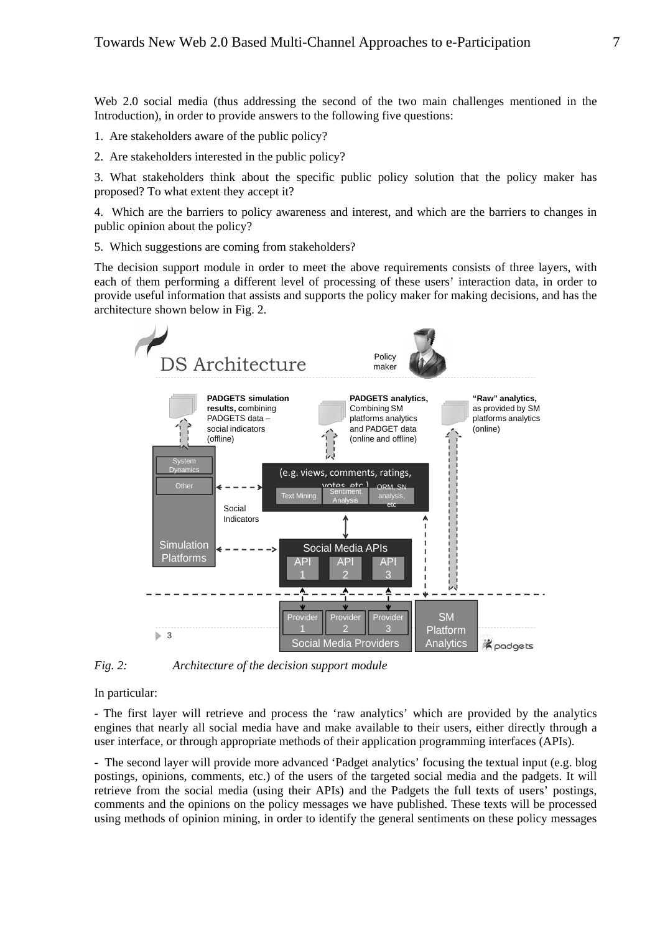Web 2.0 social media (thus addressing the second of the two main challenges mentioned in the Introduction), in order to provide answers to the following five questions:

1. Are stakeholders aware of the public policy?

2. Are stakeholders interested in the public policy?

3. What stakeholders think about the specific public policy solution that the policy maker has proposed? To what extent they accept it?

4. Which are the barriers to policy awareness and interest, and which are the barriers to changes in public opinion about the policy?

5. Which suggestions are coming from stakeholders?

The decision support module in order to meet the above requirements consists of three layers, with each of them performing a different level of processing of these users' interaction data, in order to provide useful information that assists and supports the policy maker for making decisions, and has the architecture shown below in Fig. 2.



*Fig. 2: Architecture of the decision support module* 

In particular:

- The first layer will retrieve and process the 'raw analytics' which are provided by the analytics engines that nearly all social media have and make available to their users, either directly through a user interface, or through appropriate methods of their application programming interfaces (APIs).

- The second layer will provide more advanced 'Padget analytics' focusing the textual input (e.g. blog postings, opinions, comments, etc.) of the users of the targeted social media and the padgets. It will retrieve from the social media (using their APIs) and the Padgets the full texts of users' postings, comments and the opinions on the policy messages we have published. These texts will be processed using methods of opinion mining, in order to identify the general sentiments on these policy messages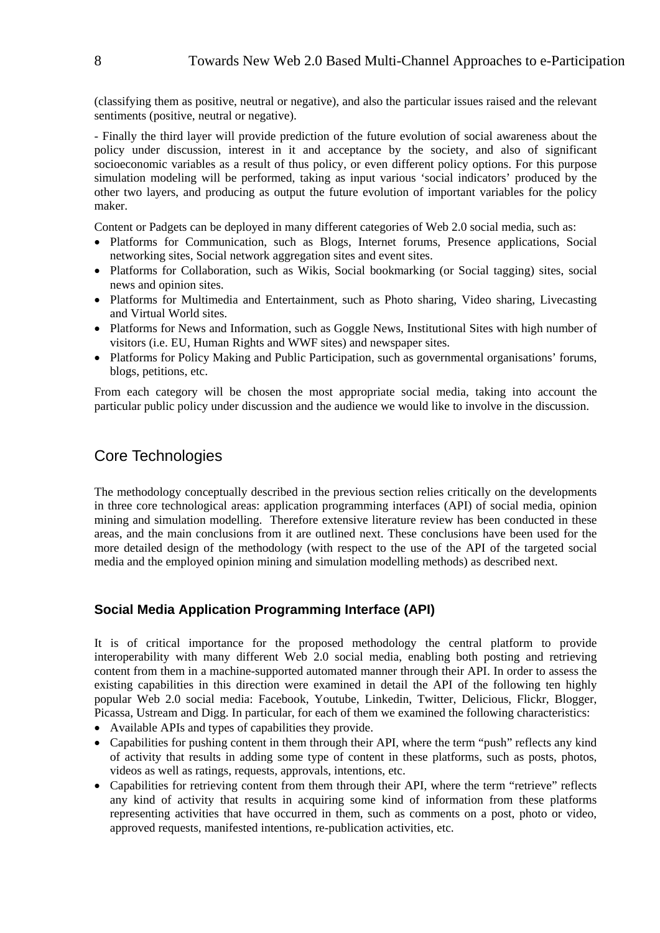(classifying them as positive, neutral or negative), and also the particular issues raised and the relevant sentiments (positive, neutral or negative).

- Finally the third layer will provide prediction of the future evolution of social awareness about the policy under discussion, interest in it and acceptance by the society, and also of significant socioeconomic variables as a result of thus policy, or even different policy options. For this purpose simulation modeling will be performed, taking as input various 'social indicators' produced by the other two layers, and producing as output the future evolution of important variables for the policy maker.

Content or Padgets can be deployed in many different categories of Web 2.0 social media, such as:

- Platforms for Communication, such as Blogs, Internet forums, Presence applications, Social networking sites, Social network aggregation sites and event sites.
- Platforms for Collaboration, such as Wikis, Social bookmarking (or Social tagging) sites, social news and opinion sites.
- Platforms for Multimedia and Entertainment, such as Photo sharing, Video sharing, Livecasting and Virtual World sites.
- Platforms for News and Information, such as Goggle News, Institutional Sites with high number of visitors (i.e. EU, Human Rights and WWF sites) and newspaper sites.
- Platforms for Policy Making and Public Participation, such as governmental organisations' forums, blogs, petitions, etc.

From each category will be chosen the most appropriate social media, taking into account the particular public policy under discussion and the audience we would like to involve in the discussion.

## Core Technologies

The methodology conceptually described in the previous section relies critically on the developments in three core technological areas: application programming interfaces (API) of social media, opinion mining and simulation modelling. Therefore extensive literature review has been conducted in these areas, and the main conclusions from it are outlined next. These conclusions have been used for the more detailed design of the methodology (with respect to the use of the API of the targeted social media and the employed opinion mining and simulation modelling methods) as described next.

### **Social Media Application Programming Interface (API)**

It is of critical importance for the proposed methodology the central platform to provide interoperability with many different Web 2.0 social media, enabling both posting and retrieving content from them in a machine-supported automated manner through their API. In order to assess the existing capabilities in this direction were examined in detail the API of the following ten highly popular Web 2.0 social media: Facebook, Youtube, Linkedin, Twitter, Delicious, Flickr, Blogger, Picassa, Ustream and Digg. In particular, for each of them we examined the following characteristics:

- Available APIs and types of capabilities they provide.
- Capabilities for pushing content in them through their API, where the term "push" reflects any kind of activity that results in adding some type of content in these platforms, such as posts, photos, videos as well as ratings, requests, approvals, intentions, etc.
- Capabilities for retrieving content from them through their API, where the term "retrieve" reflects any kind of activity that results in acquiring some kind of information from these platforms representing activities that have occurred in them, such as comments on a post, photo or video, approved requests, manifested intentions, re-publication activities, etc.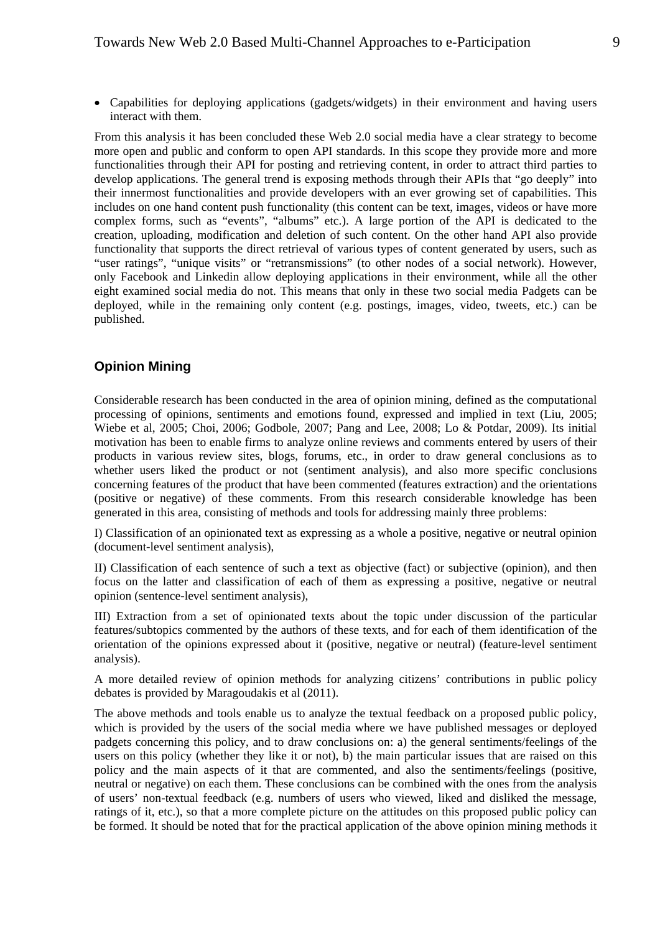• Capabilities for deploying applications (gadgets/widgets) in their environment and having users interact with them.

From this analysis it has been concluded these Web 2.0 social media have a clear strategy to become more open and public and conform to open API standards. In this scope they provide more and more functionalities through their API for posting and retrieving content, in order to attract third parties to develop applications. The general trend is exposing methods through their APIs that "go deeply" into their innermost functionalities and provide developers with an ever growing set of capabilities. This includes on one hand content push functionality (this content can be text, images, videos or have more complex forms, such as "events", "albums" etc.). A large portion of the API is dedicated to the creation, uploading, modification and deletion of such content. On the other hand API also provide functionality that supports the direct retrieval of various types of content generated by users, such as "user ratings", "unique visits" or "retransmissions" (to other nodes of a social network). However, only Facebook and Linkedin allow deploying applications in their environment, while all the other eight examined social media do not. This means that only in these two social media Padgets can be deployed, while in the remaining only content (e.g. postings, images, video, tweets, etc.) can be published.

### **Opinion Mining**

Considerable research has been conducted in the area of opinion mining, defined as the computational processing of opinions, sentiments and emotions found, expressed and implied in text (Liu, 2005; Wiebe et al, 2005; Choi, 2006; Godbole, 2007; Pang and Lee, 2008; Lo & Potdar, 2009). Its initial motivation has been to enable firms to analyze online reviews and comments entered by users of their products in various review sites, blogs, forums, etc., in order to draw general conclusions as to whether users liked the product or not (sentiment analysis), and also more specific conclusions concerning features of the product that have been commented (features extraction) and the orientations (positive or negative) of these comments. From this research considerable knowledge has been generated in this area, consisting of methods and tools for addressing mainly three problems:

I) Classification of an opinionated text as expressing as a whole a positive, negative or neutral opinion (document-level sentiment analysis),

II) Classification of each sentence of such a text as objective (fact) or subjective (opinion), and then focus on the latter and classification of each of them as expressing a positive, negative or neutral opinion (sentence-level sentiment analysis),

III) Extraction from a set of opinionated texts about the topic under discussion of the particular features/subtopics commented by the authors of these texts, and for each of them identification of the orientation of the opinions expressed about it (positive, negative or neutral) (feature-level sentiment analysis).

A more detailed review of opinion methods for analyzing citizens' contributions in public policy debates is provided by Maragoudakis et al (2011).

The above methods and tools enable us to analyze the textual feedback on a proposed public policy, which is provided by the users of the social media where we have published messages or deployed padgets concerning this policy, and to draw conclusions on: a) the general sentiments/feelings of the users on this policy (whether they like it or not), b) the main particular issues that are raised on this policy and the main aspects of it that are commented, and also the sentiments/feelings (positive, neutral or negative) on each them. These conclusions can be combined with the ones from the analysis of users' non-textual feedback (e.g. numbers of users who viewed, liked and disliked the message, ratings of it, etc.), so that a more complete picture on the attitudes on this proposed public policy can be formed. It should be noted that for the practical application of the above opinion mining methods it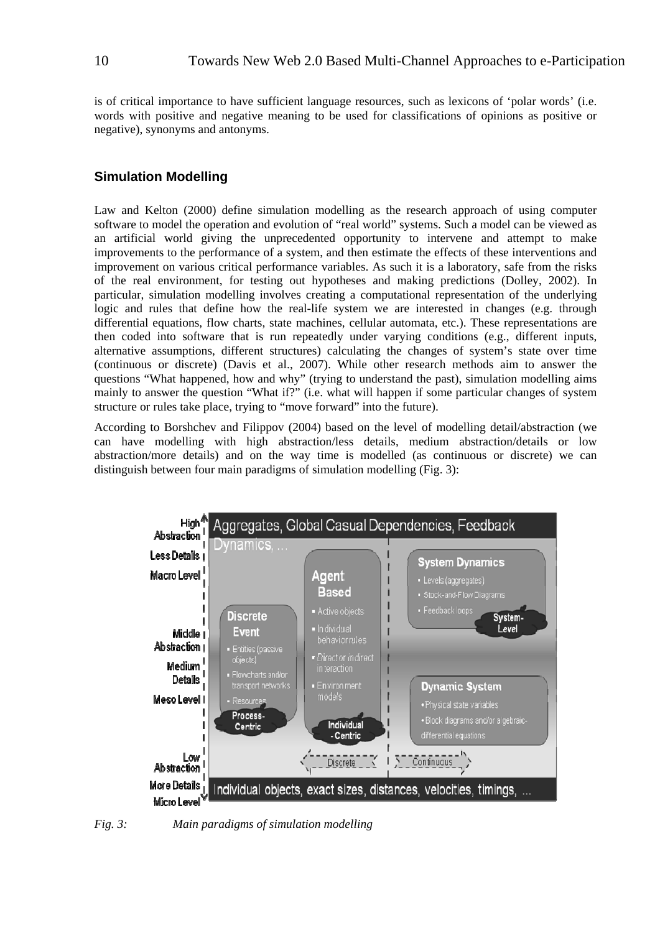is of critical importance to have sufficient language resources, such as lexicons of 'polar words' (i.e. words with positive and negative meaning to be used for classifications of opinions as positive or negative), synonyms and antonyms.

### **Simulation Modelling**

Law and Kelton (2000) define simulation modelling as the research approach of using computer software to model the operation and evolution of "real world" systems. Such a model can be viewed as an artificial world giving the unprecedented opportunity to intervene and attempt to make improvements to the performance of a system, and then estimate the effects of these interventions and improvement on various critical performance variables. As such it is a laboratory, safe from the risks of the real environment, for testing out hypotheses and making predictions (Dolley, 2002). In particular, simulation modelling involves creating a computational representation of the underlying logic and rules that define how the real-life system we are interested in changes (e.g. through differential equations, flow charts, state machines, cellular automata, etc.). These representations are then coded into software that is run repeatedly under varying conditions (e.g., different inputs, alternative assumptions, different structures) calculating the changes of system's state over time (continuous or discrete) (Davis et al., 2007). While other research methods aim to answer the questions "What happened, how and why" (trying to understand the past), simulation modelling aims mainly to answer the question "What if?" (i.e. what will happen if some particular changes of system structure or rules take place, trying to "move forward" into the future).

According to Borshchev and Filippov (2004) based on the level of modelling detail/abstraction (we can have modelling with high abstraction/less details, medium abstraction/details or low abstraction/more details) and on the way time is modelled (as continuous or discrete) we can distinguish between four main paradigms of simulation modelling (Fig. 3):



*Fig. 3: Main paradigms of simulation modelling*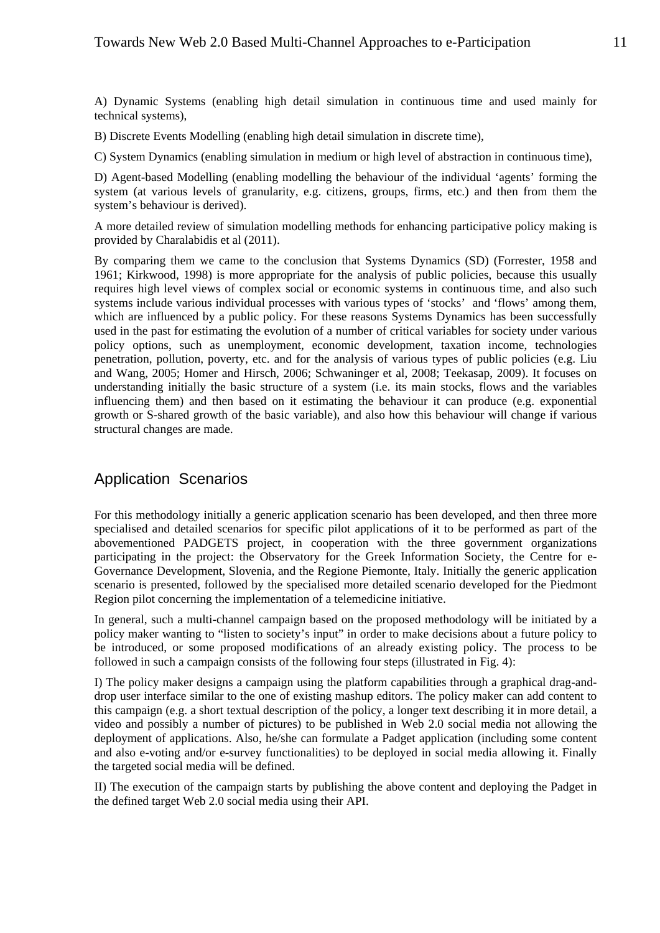A) Dynamic Systems (enabling high detail simulation in continuous time and used mainly for technical systems),

B) Discrete Events Modelling (enabling high detail simulation in discrete time),

C) System Dynamics (enabling simulation in medium or high level of abstraction in continuous time),

D) Agent-based Modelling (enabling modelling the behaviour of the individual 'agents' forming the system (at various levels of granularity, e.g. citizens, groups, firms, etc.) and then from them the system's behaviour is derived).

A more detailed review of simulation modelling methods for enhancing participative policy making is provided by Charalabidis et al (2011).

By comparing them we came to the conclusion that Systems Dynamics (SD) (Forrester, 1958 and 1961; Kirkwood, 1998) is more appropriate for the analysis of public policies, because this usually requires high level views of complex social or economic systems in continuous time, and also such systems include various individual processes with various types of 'stocks' and 'flows' among them, which are influenced by a public policy. For these reasons Systems Dynamics has been successfully used in the past for estimating the evolution of a number of critical variables for society under various policy options, such as unemployment, economic development, taxation income, technologies penetration, pollution, poverty, etc. and for the analysis of various types of public policies (e.g. Liu and Wang, 2005; Homer and Hirsch, 2006; Schwaninger et al, 2008; Teekasap, 2009). It focuses on understanding initially the basic structure of a system (i.e. its main stocks, flows and the variables influencing them) and then based on it estimating the behaviour it can produce (e.g. exponential growth or S-shared growth of the basic variable), and also how this behaviour will change if various structural changes are made.

# Application Scenarios

For this methodology initially a generic application scenario has been developed, and then three more specialised and detailed scenarios for specific pilot applications of it to be performed as part of the abovementioned PADGETS project, in cooperation with the three government organizations participating in the project: the Observatory for the Greek Information Society, the Centre for e-Governance Development, Slovenia, and the Regione Piemonte, Italy. Initially the generic application scenario is presented, followed by the specialised more detailed scenario developed for the Piedmont Region pilot concerning the implementation of a telemedicine initiative.

In general, such a multi-channel campaign based on the proposed methodology will be initiated by a policy maker wanting to "listen to society's input" in order to make decisions about a future policy to be introduced, or some proposed modifications of an already existing policy. The process to be followed in such a campaign consists of the following four steps (illustrated in Fig. 4):

I) The policy maker designs a campaign using the platform capabilities through a graphical drag-anddrop user interface similar to the one of existing mashup editors. The policy maker can add content to this campaign (e.g. a short textual description of the policy, a longer text describing it in more detail, a video and possibly a number of pictures) to be published in Web 2.0 social media not allowing the deployment of applications. Also, he/she can formulate a Padget application (including some content and also e-voting and/or e-survey functionalities) to be deployed in social media allowing it. Finally the targeted social media will be defined.

II) The execution of the campaign starts by publishing the above content and deploying the Padget in the defined target Web 2.0 social media using their API.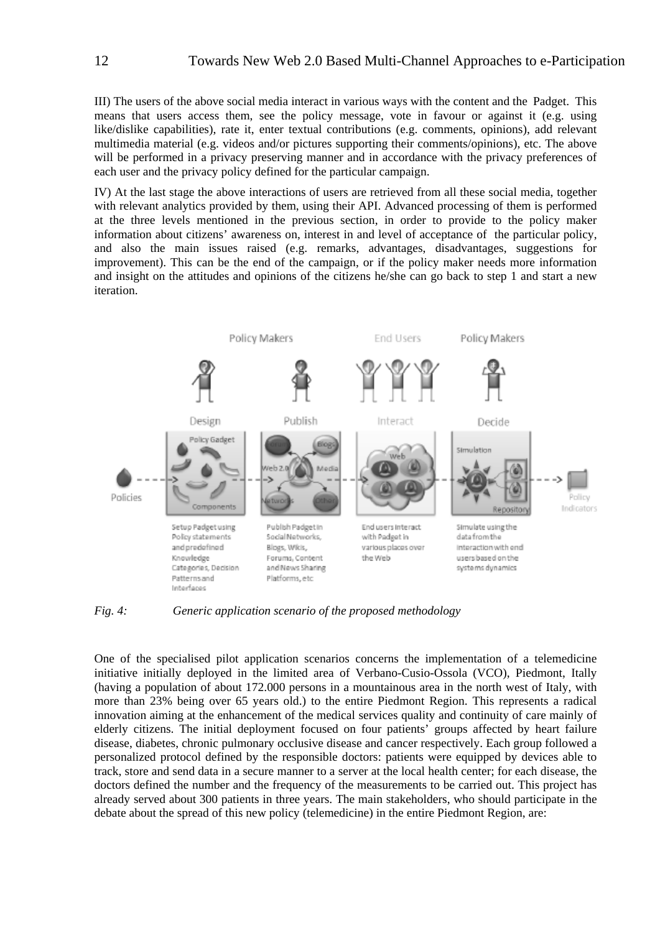III) The users of the above social media interact in various ways with the content and the Padget. This means that users access them, see the policy message, vote in favour or against it (e.g. using like/dislike capabilities), rate it, enter textual contributions (e.g. comments, opinions), add relevant multimedia material (e.g. videos and/or pictures supporting their comments/opinions), etc. The above will be performed in a privacy preserving manner and in accordance with the privacy preferences of each user and the privacy policy defined for the particular campaign.

IV) At the last stage the above interactions of users are retrieved from all these social media, together with relevant analytics provided by them, using their API. Advanced processing of them is performed at the three levels mentioned in the previous section, in order to provide to the policy maker information about citizens' awareness on, interest in and level of acceptance of the particular policy, and also the main issues raised (e.g. remarks, advantages, disadvantages, suggestions for improvement). This can be the end of the campaign, or if the policy maker needs more information and insight on the attitudes and opinions of the citizens he/she can go back to step 1 and start a new iteration.



*Fig. 4: Generic application scenario of the proposed methodology* 

One of the specialised pilot application scenarios concerns the implementation of a telemedicine initiative initially deployed in the limited area of Verbano-Cusio-Ossola (VCO), Piedmont, Itally (having a population of about 172.000 persons in a mountainous area in the north west of Italy, with more than 23% being over 65 years old.) to the entire Piedmont Region. This represents a radical innovation aiming at the enhancement of the medical services quality and continuity of care mainly of elderly citizens. The initial deployment focused on four patients' groups affected by heart failure disease, diabetes, chronic pulmonary occlusive disease and cancer respectively. Each group followed a personalized protocol defined by the responsible doctors: patients were equipped by devices able to track, store and send data in a secure manner to a server at the local health center; for each disease, the doctors defined the number and the frequency of the measurements to be carried out. This project has already served about 300 patients in three years. The main stakeholders, who should participate in the debate about the spread of this new policy (telemedicine) in the entire Piedmont Region, are: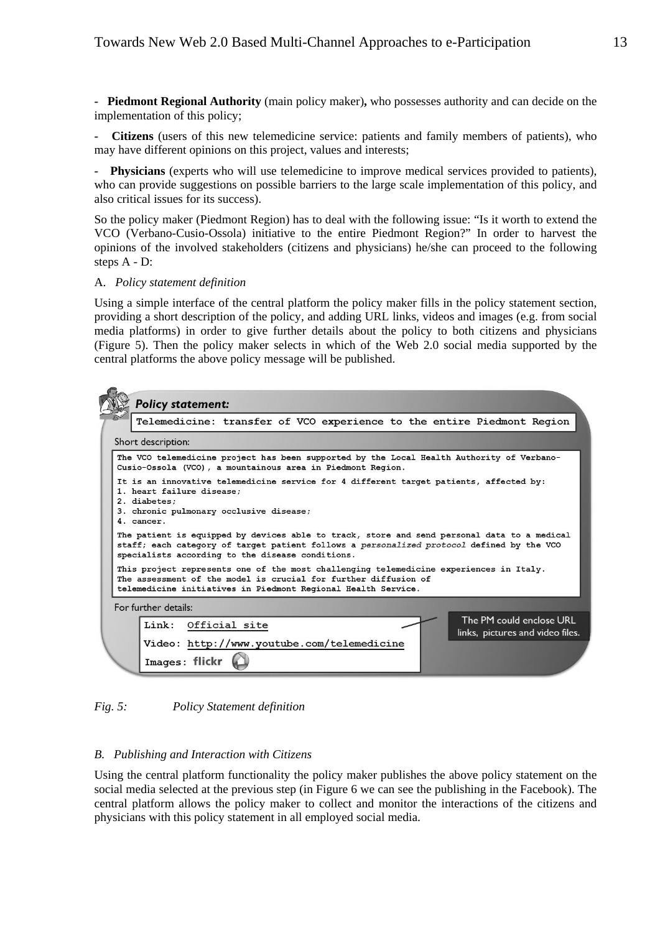**- Piedmont Regional Authority** (main policy maker)**,** who possesses authority and can decide on the implementation of this policy;

**- Citizens** (users of this new telemedicine service: patients and family members of patients), who may have different opinions on this project, values and interests;

**- Physicians** (experts who will use telemedicine to improve medical services provided to patients), who can provide suggestions on possible barriers to the large scale implementation of this policy, and also critical issues for its success).

So the policy maker (Piedmont Region) has to deal with the following issue: "Is it worth to extend the VCO (Verbano-Cusio-Ossola) initiative to the entire Piedmont Region?" In order to harvest the opinions of the involved stakeholders (citizens and physicians) he/she can proceed to the following steps A - D:

#### A. *Policy statement definition*

Using a simple interface of the central platform the policy maker fills in the policy statement section, providing a short description of the policy, and adding URL links, videos and images (e.g. from social media platforms) in order to give further details about the policy to both citizens and physicians (Figure 5). Then the policy maker selects in which of the Web 2.0 social media supported by the central platforms the above policy message will be published.

| <b>Policy statement:</b>                                                                                                                                                                                                                                                                                                                                                                                                                                                                                                                                                                                                                                                   |  |
|----------------------------------------------------------------------------------------------------------------------------------------------------------------------------------------------------------------------------------------------------------------------------------------------------------------------------------------------------------------------------------------------------------------------------------------------------------------------------------------------------------------------------------------------------------------------------------------------------------------------------------------------------------------------------|--|
| Telemedicine: transfer of VCO experience to the entire Piedmont Region                                                                                                                                                                                                                                                                                                                                                                                                                                                                                                                                                                                                     |  |
| Short description:                                                                                                                                                                                                                                                                                                                                                                                                                                                                                                                                                                                                                                                         |  |
| The VCO telemedicine project has been supported by the Local Health Authority of Verbano-<br>Cusio-Ossola (VCO), a mountainous area in Piedmont Region.                                                                                                                                                                                                                                                                                                                                                                                                                                                                                                                    |  |
| It is an innovative telemedicine service for 4 different target patients, affected by:<br>1. heart failure disease:<br>2. diabetes:<br>3. chronic pulmonary occlusive disease;<br>4. cancer.<br>The patient is equipped by devices able to track, store and send personal data to a medical<br>staff; each category of target patient follows a personalized protocol defined by the VCO<br>specialists according to the disease conditions.<br>This project represents one of the most challenging telemedicine experiences in Italy.<br>The assessment of the model is crucial for further diffusion of<br>telemedicine initiatives in Piedmont Regional Health Service. |  |
| For further details:                                                                                                                                                                                                                                                                                                                                                                                                                                                                                                                                                                                                                                                       |  |
| The PM could enclose URL<br>Link:<br>Official site<br>links, pictures and video files.<br>Video: http://www.youtube.com/telemedicine<br>Images: flickr                                                                                                                                                                                                                                                                                                                                                                                                                                                                                                                     |  |

*Fig. 5: Policy Statement definition* 

### *B. Publishing and Interaction with Citizens*

Using the central platform functionality the policy maker publishes the above policy statement on the social media selected at the previous step (in Figure 6 we can see the publishing in the Facebook). The central platform allows the policy maker to collect and monitor the interactions of the citizens and physicians with this policy statement in all employed social media.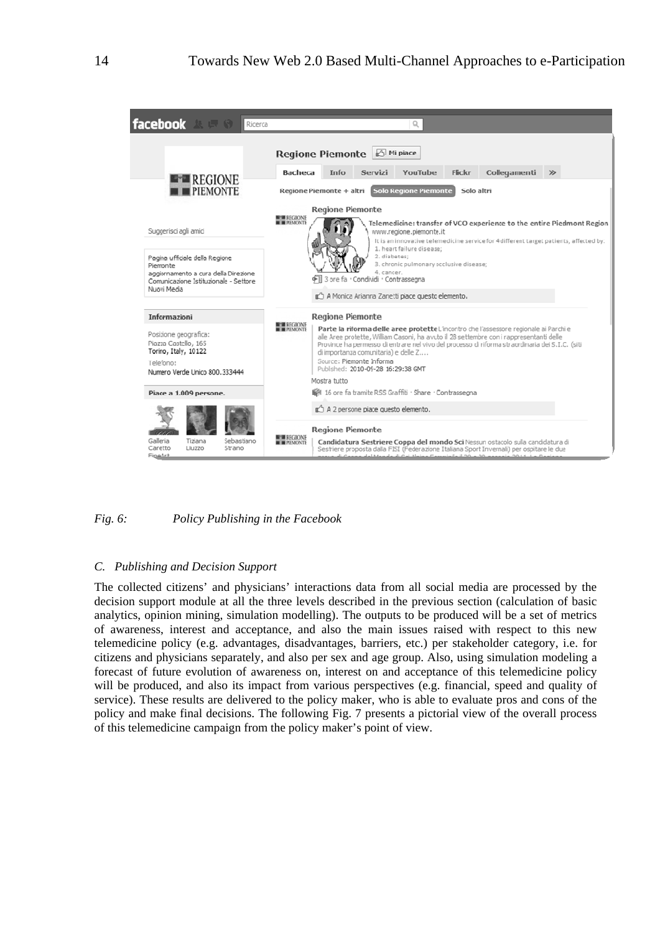

*Fig. 6: Policy Publishing in the Facebook* 

#### *C. Publishing and Decision Support*

The collected citizens' and physicians' interactions data from all social media are processed by the decision support module at all the three levels described in the previous section (calculation of basic analytics, opinion mining, simulation modelling). The outputs to be produced will be a set of metrics of awareness, interest and acceptance, and also the main issues raised with respect to this new telemedicine policy (e.g. advantages, disadvantages, barriers, etc.) per stakeholder category, i.e. for citizens and physicians separately, and also per sex and age group. Also, using simulation modeling a forecast of future evolution of awareness on, interest on and acceptance of this telemedicine policy will be produced, and also its impact from various perspectives (e.g. financial, speed and quality of service). These results are delivered to the policy maker, who is able to evaluate pros and cons of the policy and make final decisions. The following Fig. 7 presents a pictorial view of the overall process of this telemedicine campaign from the policy maker's point of view.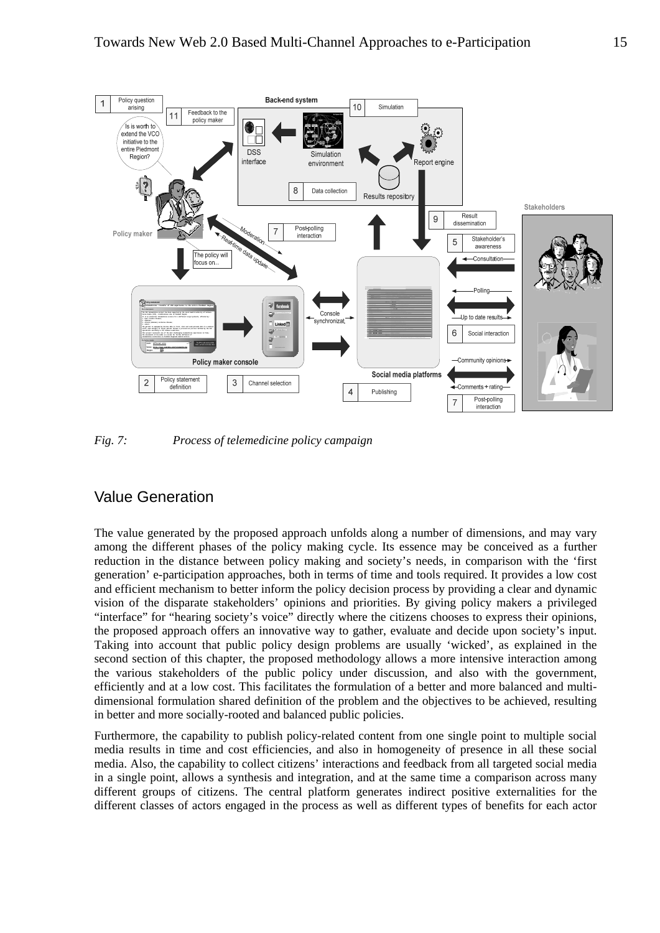

*Fig. 7: Process of telemedicine policy campaign* 

# Value Generation

The value generated by the proposed approach unfolds along a number of dimensions, and may vary among the different phases of the policy making cycle. Its essence may be conceived as a further reduction in the distance between policy making and society's needs, in comparison with the 'first generation' e-participation approaches, both in terms of time and tools required. It provides a low cost and efficient mechanism to better inform the policy decision process by providing a clear and dynamic vision of the disparate stakeholders' opinions and priorities. By giving policy makers a privileged "interface" for "hearing society's voice" directly where the citizens chooses to express their opinions, the proposed approach offers an innovative way to gather, evaluate and decide upon society's input. Taking into account that public policy design problems are usually 'wicked', as explained in the second section of this chapter, the proposed methodology allows a more intensive interaction among the various stakeholders of the public policy under discussion, and also with the government, efficiently and at a low cost. This facilitates the formulation of a better and more balanced and multidimensional formulation shared definition of the problem and the objectives to be achieved, resulting in better and more socially-rooted and balanced public policies.

Furthermore, the capability to publish policy-related content from one single point to multiple social media results in time and cost efficiencies, and also in homogeneity of presence in all these social media. Also, the capability to collect citizens' interactions and feedback from all targeted social media in a single point, allows a synthesis and integration, and at the same time a comparison across many different groups of citizens. The central platform generates indirect positive externalities for the different classes of actors engaged in the process as well as different types of benefits for each actor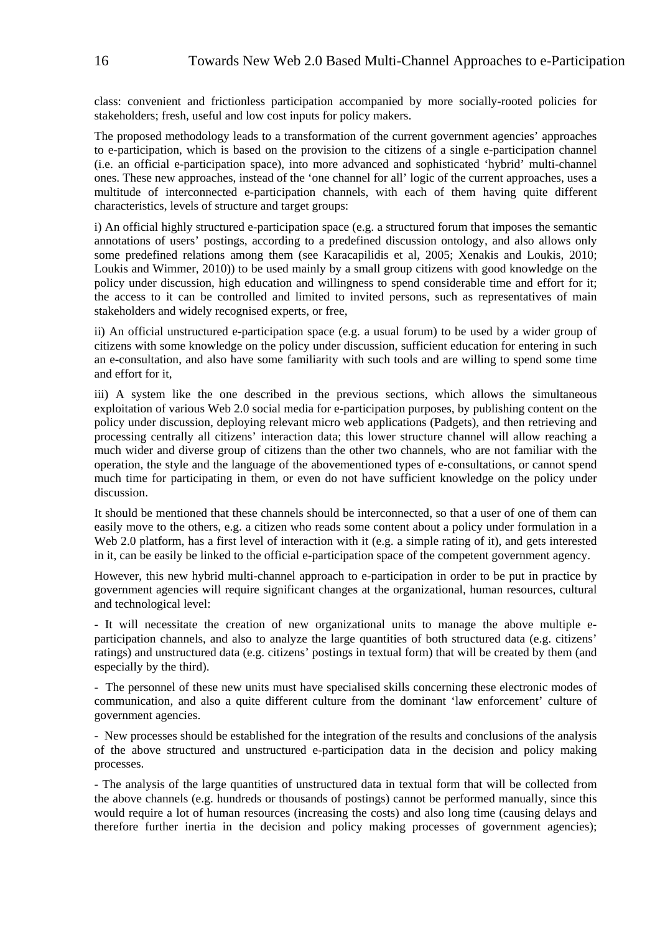class: convenient and frictionless participation accompanied by more socially-rooted policies for stakeholders; fresh, useful and low cost inputs for policy makers.

The proposed methodology leads to a transformation of the current government agencies' approaches to e-participation, which is based on the provision to the citizens of a single e-participation channel (i.e. an official e-participation space), into more advanced and sophisticated 'hybrid' multi-channel ones. These new approaches, instead of the 'one channel for all' logic of the current approaches, uses a multitude of interconnected e-participation channels, with each of them having quite different characteristics, levels of structure and target groups:

i) An official highly structured e-participation space (e.g. a structured forum that imposes the semantic annotations of users' postings, according to a predefined discussion ontology, and also allows only some predefined relations among them (see Karacapilidis et al, 2005; Xenakis and Loukis, 2010; Loukis and Wimmer, 2010)) to be used mainly by a small group citizens with good knowledge on the policy under discussion, high education and willingness to spend considerable time and effort for it; the access to it can be controlled and limited to invited persons, such as representatives of main stakeholders and widely recognised experts, or free,

ii) An official unstructured e-participation space (e.g. a usual forum) to be used by a wider group of citizens with some knowledge on the policy under discussion, sufficient education for entering in such an e-consultation, and also have some familiarity with such tools and are willing to spend some time and effort for it,

iii) A system like the one described in the previous sections, which allows the simultaneous exploitation of various Web 2.0 social media for e-participation purposes, by publishing content on the policy under discussion, deploying relevant micro web applications (Padgets), and then retrieving and processing centrally all citizens' interaction data; this lower structure channel will allow reaching a much wider and diverse group of citizens than the other two channels, who are not familiar with the operation, the style and the language of the abovementioned types of e-consultations, or cannot spend much time for participating in them, or even do not have sufficient knowledge on the policy under discussion.

It should be mentioned that these channels should be interconnected, so that a user of one of them can easily move to the others, e.g. a citizen who reads some content about a policy under formulation in a Web 2.0 platform, has a first level of interaction with it (e.g. a simple rating of it), and gets interested in it, can be easily be linked to the official e-participation space of the competent government agency.

However, this new hybrid multi-channel approach to e-participation in order to be put in practice by government agencies will require significant changes at the organizational, human resources, cultural and technological level:

- It will necessitate the creation of new organizational units to manage the above multiple eparticipation channels, and also to analyze the large quantities of both structured data (e.g. citizens' ratings) and unstructured data (e.g. citizens' postings in textual form) that will be created by them (and especially by the third).

- The personnel of these new units must have specialised skills concerning these electronic modes of communication, and also a quite different culture from the dominant 'law enforcement' culture of government agencies.

- New processes should be established for the integration of the results and conclusions of the analysis of the above structured and unstructured e-participation data in the decision and policy making processes.

- The analysis of the large quantities of unstructured data in textual form that will be collected from the above channels (e.g. hundreds or thousands of postings) cannot be performed manually, since this would require a lot of human resources (increasing the costs) and also long time (causing delays and therefore further inertia in the decision and policy making processes of government agencies);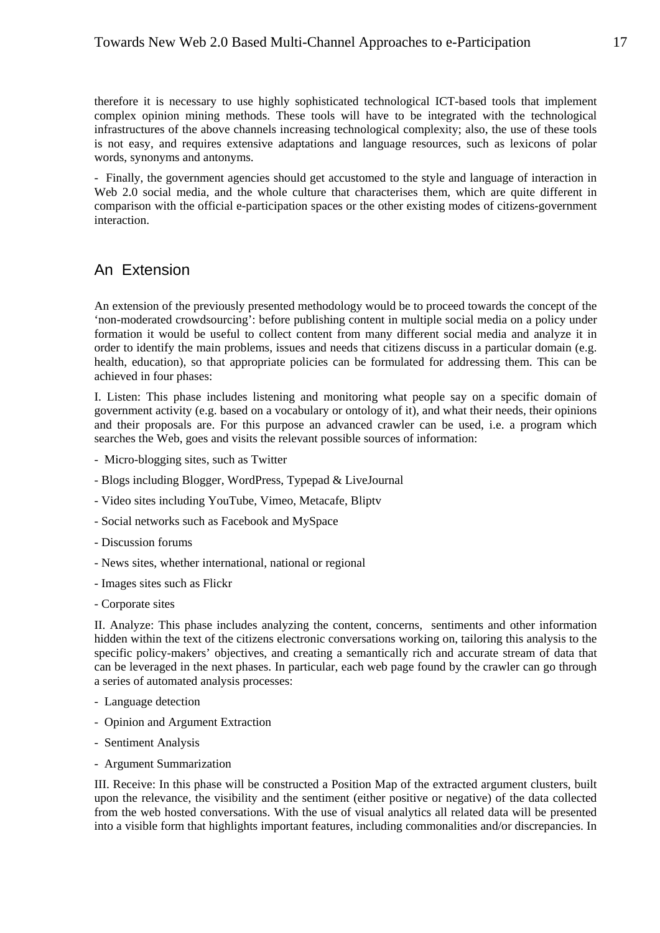therefore it is necessary to use highly sophisticated technological ICT-based tools that implement complex opinion mining methods. These tools will have to be integrated with the technological infrastructures of the above channels increasing technological complexity; also, the use of these tools is not easy, and requires extensive adaptations and language resources, such as lexicons of polar words, synonyms and antonyms.

- Finally, the government agencies should get accustomed to the style and language of interaction in Web 2.0 social media, and the whole culture that characterises them, which are quite different in comparison with the official e-participation spaces or the other existing modes of citizens-government interaction.

# An Extension

An extension of the previously presented methodology would be to proceed towards the concept of the 'non-moderated crowdsourcing': before publishing content in multiple social media on a policy under formation it would be useful to collect content from many different social media and analyze it in order to identify the main problems, issues and needs that citizens discuss in a particular domain (e.g. health, education), so that appropriate policies can be formulated for addressing them. This can be achieved in four phases:

I. Listen: This phase includes listening and monitoring what people say on a specific domain of government activity (e.g. based on a vocabulary or ontology of it), and what their needs, their opinions and their proposals are. For this purpose an advanced crawler can be used, i.e. a program which searches the Web, goes and visits the relevant possible sources of information:

- Micro-blogging sites, such as Twitter
- Blogs including Blogger, WordPress, Typepad & LiveJournal
- Video sites including YouTube, Vimeo, Metacafe, Bliptv
- Social networks such as Facebook and MySpace
- Discussion forums
- News sites, whether international, national or regional
- Images sites such as Flickr
- Corporate sites

II. Analyze: This phase includes analyzing the content, concerns, sentiments and other information hidden within the text of the citizens electronic conversations working on, tailoring this analysis to the specific policy-makers' objectives, and creating a semantically rich and accurate stream of data that can be leveraged in the next phases. In particular, each web page found by the crawler can go through a series of automated analysis processes:

- Language detection
- Opinion and Argument Extraction
- Sentiment Analysis
- Argument Summarization

III. Receive: In this phase will be constructed a Position Map of the extracted argument clusters, built upon the relevance, the visibility and the sentiment (either positive or negative) of the data collected from the web hosted conversations. With the use of visual analytics all related data will be presented into a visible form that highlights important features, including commonalities and/or discrepancies. In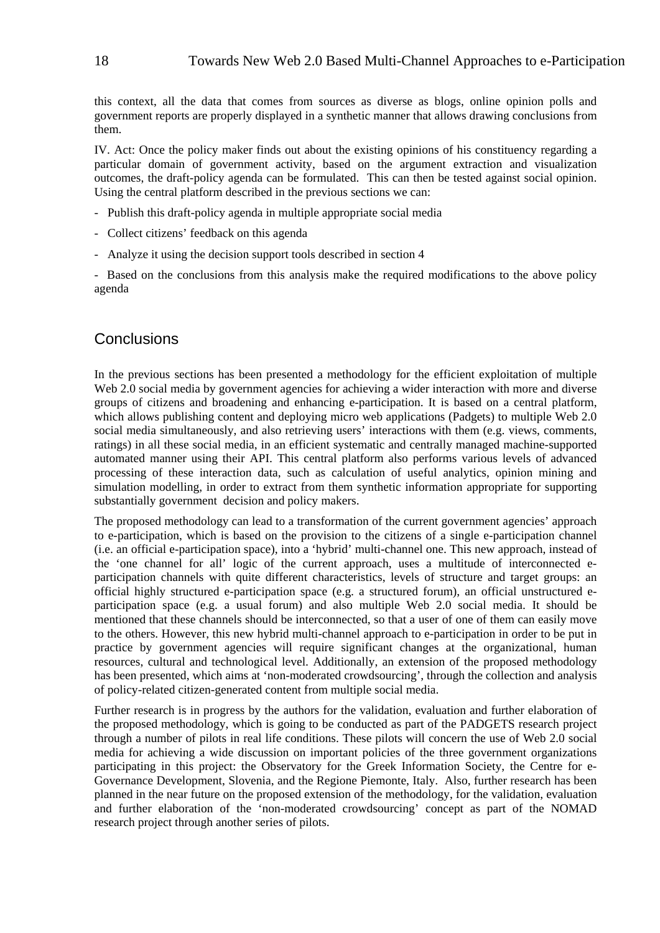this context, all the data that comes from sources as diverse as blogs, online opinion polls and government reports are properly displayed in a synthetic manner that allows drawing conclusions from them.

IV. Act: Once the policy maker finds out about the existing opinions of his constituency regarding a particular domain of government activity, based on the argument extraction and visualization outcomes, the draft-policy agenda can be formulated. This can then be tested against social opinion. Using the central platform described in the previous sections we can:

- Publish this draft-policy agenda in multiple appropriate social media
- Collect citizens' feedback on this agenda
- Analyze it using the decision support tools described in section 4

- Based on the conclusions from this analysis make the required modifications to the above policy agenda

## **Conclusions**

In the previous sections has been presented a methodology for the efficient exploitation of multiple Web 2.0 social media by government agencies for achieving a wider interaction with more and diverse groups of citizens and broadening and enhancing e-participation. It is based on a central platform, which allows publishing content and deploying micro web applications (Padgets) to multiple Web 2.0 social media simultaneously, and also retrieving users' interactions with them (e.g. views, comments, ratings) in all these social media, in an efficient systematic and centrally managed machine-supported automated manner using their API. This central platform also performs various levels of advanced processing of these interaction data, such as calculation of useful analytics, opinion mining and simulation modelling, in order to extract from them synthetic information appropriate for supporting substantially government decision and policy makers.

The proposed methodology can lead to a transformation of the current government agencies' approach to e-participation, which is based on the provision to the citizens of a single e-participation channel (i.e. an official e-participation space), into a 'hybrid' multi-channel one. This new approach, instead of the 'one channel for all' logic of the current approach, uses a multitude of interconnected eparticipation channels with quite different characteristics, levels of structure and target groups: an official highly structured e-participation space (e.g. a structured forum), an official unstructured eparticipation space (e.g. a usual forum) and also multiple Web 2.0 social media. It should be mentioned that these channels should be interconnected, so that a user of one of them can easily move to the others. However, this new hybrid multi-channel approach to e-participation in order to be put in practice by government agencies will require significant changes at the organizational, human resources, cultural and technological level. Additionally, an extension of the proposed methodology has been presented, which aims at 'non-moderated crowdsourcing', through the collection and analysis of policy-related citizen-generated content from multiple social media.

Further research is in progress by the authors for the validation, evaluation and further elaboration of the proposed methodology, which is going to be conducted as part of the PADGETS research project through a number of pilots in real life conditions. These pilots will concern the use of Web 2.0 social media for achieving a wide discussion on important policies of the three government organizations participating in this project: the Observatory for the Greek Information Society, the Centre for e-Governance Development, Slovenia, and the Regione Piemonte, Italy. Also, further research has been planned in the near future on the proposed extension of the methodology, for the validation, evaluation and further elaboration of the 'non-moderated crowdsourcing' concept as part of the NOMAD research project through another series of pilots.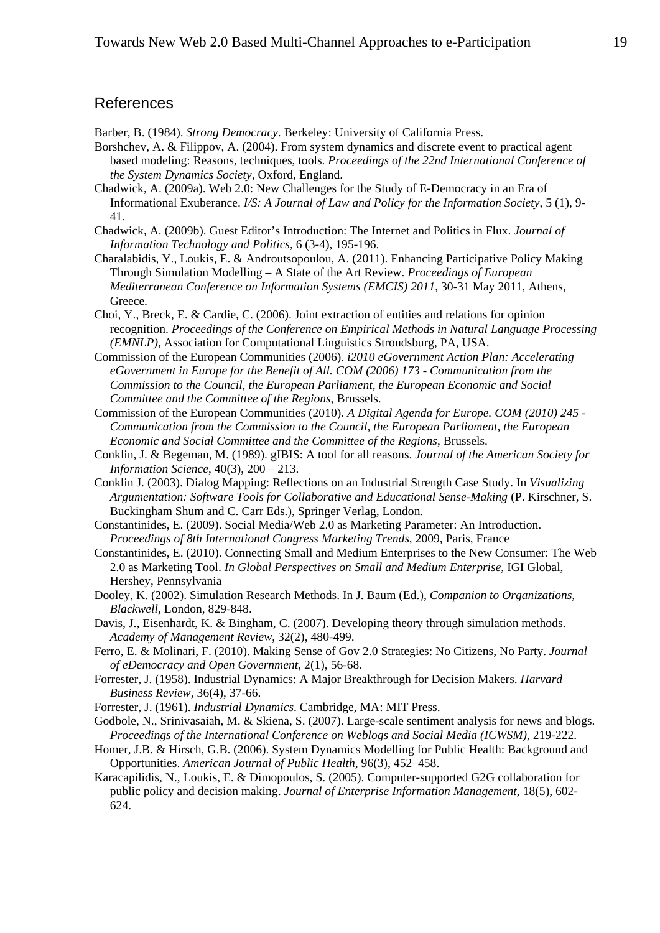## References

Barber, B. (1984). *Strong Democracy*. Berkeley: University of California Press.

- Borshchev, A. & Filippov, A. (2004). From system dynamics and discrete event to practical agent based modeling: Reasons, techniques, tools. *Proceedings of the 22nd International Conference of the System Dynamics Society*, Oxford, England.
- Chadwick, A. (2009a). Web 2.0: New Challenges for the Study of E-Democracy in an Era of Informational Exuberance. *I/S: A Journal of Law and Policy for the Information Society*, 5 (1), 9- 41.
- Chadwick, A. (2009b). Guest Editor's Introduction: The Internet and Politics in Flux. *Journal of Information Technology and Politics*, 6 (3-4), 195-196.
- Charalabidis, Y., Loukis, E. & Androutsopoulou, A. (2011). Enhancing Participative Policy Making Through Simulation Modelling – A State of the Art Review. *Proceedings of European Mediterranean Conference on Information Systems (EMCIS) 2011*, 30-31 May 2011, Athens, Greece.
- Choi, Y., Breck, E. & Cardie, C. (2006). Joint extraction of entities and relations for opinion recognition. *Proceedings of the Conference on Empirical Methods in Natural Language Processing (EMNLP)*, Association for Computational Linguistics Stroudsburg, PA, USA.
- Commission of the European Communities (2006). *i2010 eGovernment Action Plan: Accelerating eGovernment in Europe for the Benefit of All. COM (2006) 173 - Communication from the Commission to the Council, the European Parliament, the European Economic and Social Committee and the Committee of the Regions*, Brussels.
- Commission of the European Communities (2010). *A Digital Agenda for Europe. COM (2010) 245 Communication from the Commission to the Council, the European Parliament, the European Economic and Social Committee and the Committee of the Regions*, Brussels.
- Conklin, J. & Begeman, M. (1989). gIBIS: A tool for all reasons. *Journal of the American Society for Information Science*, 40(3), 200 – 213.
- Conklin J. (2003). Dialog Mapping: Reflections on an Industrial Strength Case Study. In *Visualizing Argumentation: Software Tools for Collaborative and Educational Sense-Making* (P. Kirschner, S. Buckingham Shum and C. Carr Eds.), Springer Verlag, London.
- Constantinides, E. (2009). Social Media/Web 2.0 as Marketing Parameter: An Introduction. *Proceedings of 8th International Congress Marketing Trends*, 2009, Paris, France
- Constantinides, E. (2010). Connecting Small and Medium Enterprises to the New Consumer: The Web 2.0 as Marketing Tool. *In Global Perspectives on Small and Medium Enterprise*, IGI Global, Hershey, Pennsylvania
- Dooley, K. (2002). Simulation Research Methods. In J. Baum (Ed.), *Companion to Organizations, Blackwell*, London, 829-848.
- Davis, J., Eisenhardt, K. & Bingham, C. (2007). Developing theory through simulation methods. *Academy of Management Review*, 32(2), 480-499.
- Ferro, E. & Molinari, F. (2010). Making Sense of Gov 2.0 Strategies: No Citizens, No Party. *Journal of eDemocracy and Open Government*, 2(1), 56-68.
- Forrester, J. (1958). Industrial Dynamics: A Major Breakthrough for Decision Makers. *Harvard Business Review*, 36(4), 37-66.
- Forrester, J. (1961). *Industrial Dynamics*. Cambridge, MA: MIT Press.
- Godbole, N., Srinivasaiah, M. & Skiena, S. (2007). Large-scale sentiment analysis for news and blogs. *Proceedings of the International Conference on Weblogs and Social Media (ICWSM)*, 219-222.
- Homer, J.B. & Hirsch, G.B. (2006). System Dynamics Modelling for Public Health: Background and Opportunities. *American Journal of Public Health*, 96(3), 452–458.
- Karacapilidis, N., Loukis, E. & Dimopoulos, S. (2005). Computer-supported G2G collaboration for public policy and decision making. *Journal of Enterprise Information Management*, 18(5), 602- 624.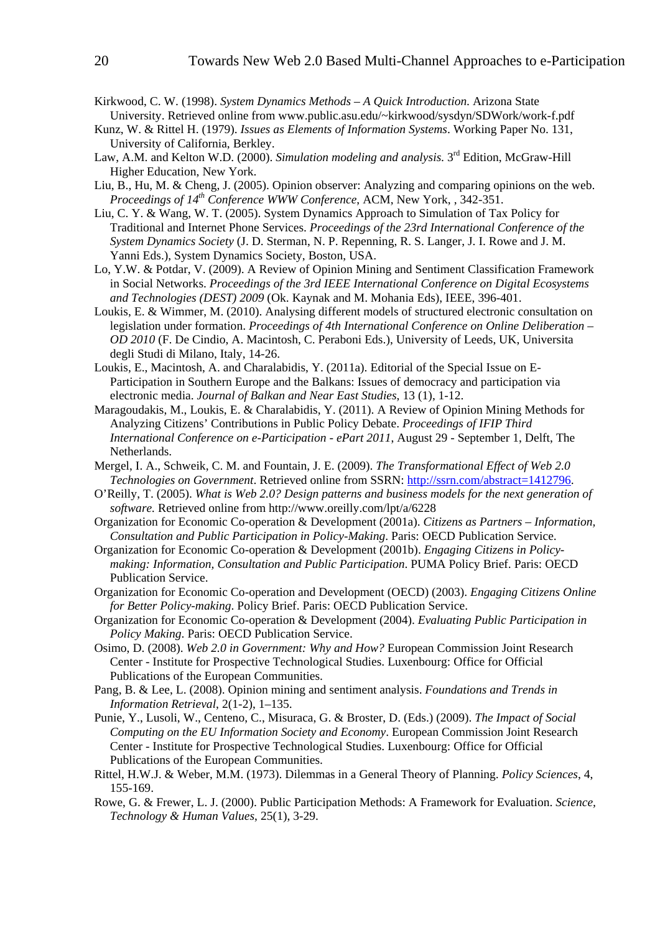Kirkwood, C. W. (1998). *System Dynamics Methods – A Quick Introduction*. Arizona State University. Retrieved online from www.public.asu.edu/~kirkwood/sysdyn/SDWork/work-f.pdf

- Kunz, W. & Rittel H. (1979). *Issues as Elements of Information Systems*. Working Paper No. 131, University of California, Berkley.
- Law, A.M. and Kelton W.D. (2000). *Simulation modeling and analysis*. 3rd Edition, McGraw-Hill Higher Education, New York.
- Liu, B., Hu, M. & Cheng, J. (2005). Opinion observer: Analyzing and comparing opinions on the web. *Proceedings of 14th Conference WWW Conference*, ACM, New York, , 342-351.
- Liu, C. Y. & Wang, W. T. (2005). System Dynamics Approach to Simulation of Tax Policy for Traditional and Internet Phone Services. *Proceedings of the 23rd International Conference of the System Dynamics Society* (J. D. Sterman, N. P. Repenning, R. S. Langer, J. I. Rowe and J. M. Yanni Eds.), System Dynamics Society, Boston, USA.
- Lo, Y.W. & Potdar, V. (2009). A Review of Opinion Mining and Sentiment Classification Framework in Social Networks. *Proceedings of the 3rd IEEE International Conference on Digital Ecosystems and Technologies (DEST) 2009* (Ok. Kaynak and M. Mohania Eds), IEEE, 396-401.
- Loukis, E. & Wimmer, M. (2010). Analysing different models of structured electronic consultation on legislation under formation. *Proceedings of 4th International Conference on Online Deliberation – OD 2010* (F. De Cindio, A. Macintosh, C. Peraboni Eds.), University of Leeds, UK, Universita degli Studi di Milano, Italy, 14-26.
- Loukis, E., Macintosh, A. and Charalabidis, Y. (2011a). Editorial of the Special Issue on E-Participation in Southern Europe and the Balkans: Issues of democracy and participation via electronic media. *Journal of Balkan and Near East Studies*, 13 (1), 1-12.
- Maragoudakis, M., Loukis, E. & Charalabidis, Y. (2011). A Review of Opinion Mining Methods for Analyzing Citizens' Contributions in Public Policy Debate. *Proceedings of IFIP Third International Conference on e-Participation - ePart 2011*, August 29 - September 1, Delft, The Netherlands.
- Mergel, I. A., Schweik, C. M. and Fountain, J. E. (2009). *The Transformational Effect of Web 2.0 Technologies on Government*. Retrieved online from SSRN: <http://ssrn.com/abstract=1412796>.
- O'Reilly, T. (2005). *What is Web 2.0? Design patterns and business models for the next generation of software.* Retrieved online from http://www.oreilly.com/lpt/a/6228
- Organization for Economic Co-operation & Development (2001a). *Citizens as Partners Information, Consultation and Public Participation in Policy-Making*. Paris: OECD Publication Service.
- Organization for Economic Co-operation & Development (2001b). *Engaging Citizens in Policymaking: Information, Consultation and Public Participation*. PUMA Policy Brief. Paris: OECD Publication Service.
- Organization for Economic Co-operation and Development (OECD) (2003). *Engaging Citizens Online for Better Policy-making*. Policy Brief. Paris: OECD Publication Service.
- Organization for Economic Co-operation & Development (2004). *Evaluating Public Participation in Policy Making*. Paris: OECD Publication Service.
- Osimo, D. (2008). *Web 2.0 in Government: Why and How?* European Commission Joint Research Center - Institute for Prospective Technological Studies. Luxenbourg: Office for Official Publications of the European Communities.
- Pang, B. & Lee, L. (2008). Opinion mining and sentiment analysis. *Foundations and Trends in Information Retrieval*, 2(1-2), 1–135.
- Punie, Y., Lusoli, W., Centeno, C., Misuraca, G. & Broster, D. (Eds.) (2009). *The Impact of Social Computing on the EU Information Society and Economy*. European Commission Joint Research Center - Institute for Prospective Technological Studies. Luxenbourg: Office for Official Publications of the European Communities.
- Rittel, H.W.J. & Weber, M.M. (1973). Dilemmas in a General Theory of Planning. *Policy Sciences*, 4, 155-169.
- Rowe, G. & Frewer, L. J. (2000). Public Participation Methods: A Framework for Evaluation. *Science, Technology & Human Values*, 25(1), 3-29.